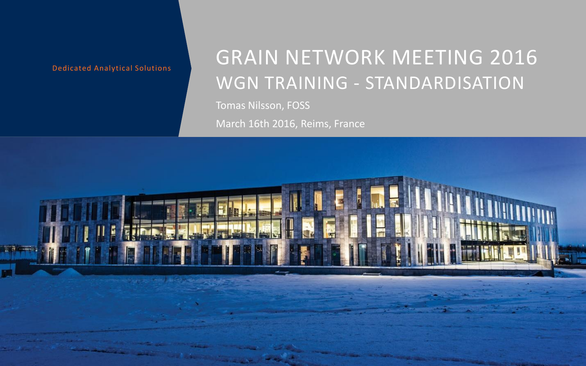## GRAIN NETWORK MEETING 2016 WGN TRAINING - STANDARDISATION

Tomas Nilsson, FOSS

March 16th 2016, Reims, France

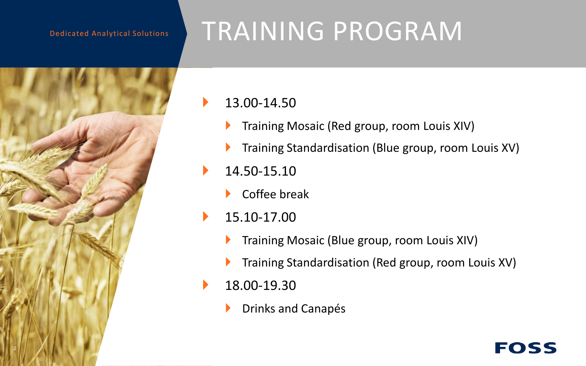

# TRAINING PROGRAM

### 13.00-14.50

- Training Mosaic (Red group, room Louis XIV)
- Training Standardisation (Blue group, room Louis XV)
- 14.50-15.10
	- Coffee break
- $\blacktriangleright$  15.10-17.00
	- Training Mosaic (Blue group, room Louis XIV)
	- Training Standardisation (Red group, room Louis XV)

EOSS

- 18.00-19.30
	- Drinks and Canapés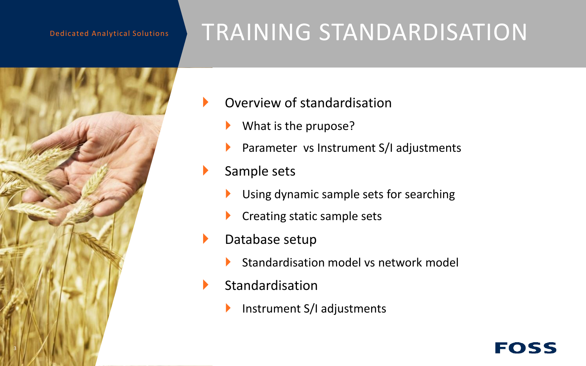

## TRAINING STANDARDISATION

- Overview of standardisation
	- What is the prupose?
	- Parameter vs Instrument S/I adjustments
- Sample sets
	- Using dynamic sample sets for searching
	- Creating static sample sets
- Database setup
	- Standardisation model vs network model

EOSS

- $\blacktriangleright$  Standardisation
	- Instrument S/I adjustments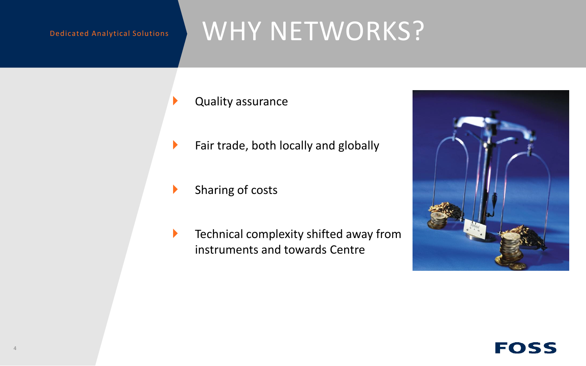## WHY NETWORKS?

- Quality assurance
- $\blacktriangleright$  Fair trade, both locally and globally
	- Sharing of costs
- **Technical complexity shifted away from** instruments and towards Centre



### FOSS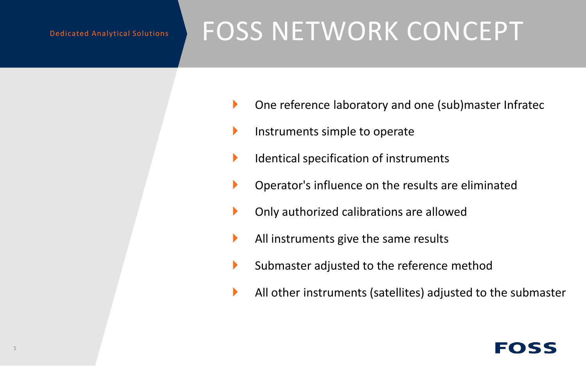# FOSS NETWORK CONCEPT

- One reference laboratory and one (sub)master Infratec
- Instruments simple to operate
- $\blacktriangleright$  Identical specification of instruments
- Operator's influence on the results are eliminated
- Only authorized calibrations are allowed
- All instruments give the same results
- $\blacktriangleright$  Submaster adjusted to the reference method
- All other instruments (satellites) adjusted to the submaster

## FOSS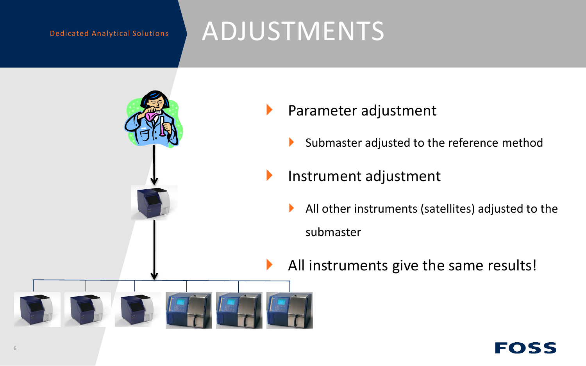## ADJUSTMENTS



- Parameter adjustment
	- Submaster adjusted to the reference method
- Instrument adjustment
	- All other instruments (satellites) adjusted to the submaster
- All instruments give the same results!

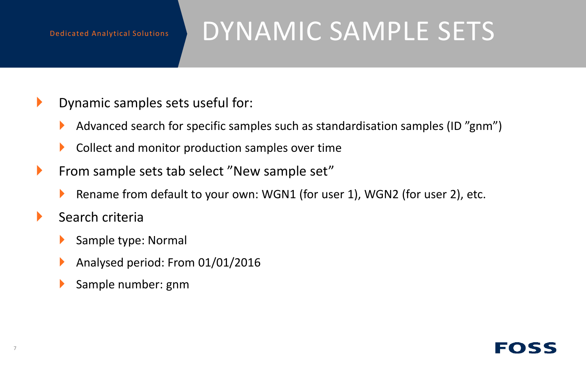# DYNAMIC SAMPLE SETS

- **Dynamic samples sets useful for:** 
	- Advanced search for specific samples such as standardisation samples (ID "gnm")
	- ▶ Collect and monitor production samples over time
- **From sample sets tab select "New sample set"** 
	- ▶ Rename from default to your own: WGN1 (for user 1), WGN2 (for user 2), etc.
- $\blacktriangleright$  Search criteria
	- Sample type: Normal
	- Analysed period: From 01/01/2016
	- Sample number: gnm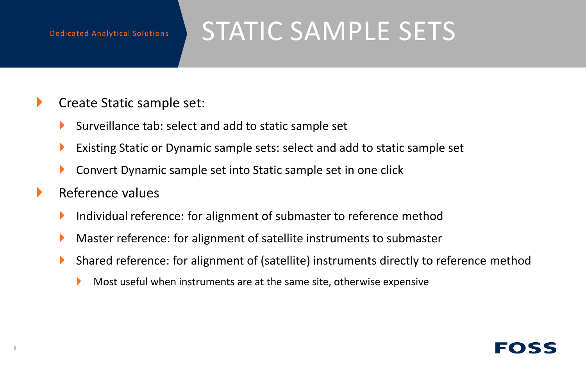## STATIC SAMPLE SETS

- ▶ Create Static sample set:
	- Surveillance tab: select and add to static sample set
	- Existing Static or Dynamic sample sets: select and add to static sample set
	- **Convert Dynamic sample set into Static sample set in one click**
- $\blacktriangleright$  Reference values
	- Individual reference: for alignment of submaster to reference method
	- Master reference: for alignment of satellite instruments to submaster
	- Shared reference: for alignment of (satellite) instruments directly to reference method
		- Most useful when instruments are at the same site, otherwise expensive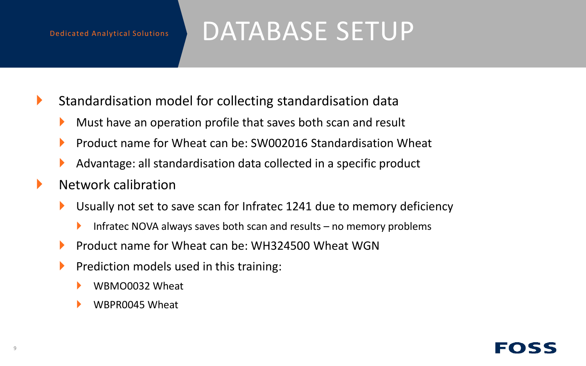## DATABASE SETUP

- $\blacktriangleright$  Standardisation model for collecting standardisation data
	- Must have an operation profile that saves both scan and result
	- Product name for Wheat can be: SW002016 Standardisation Wheat
	- Advantage: all standardisation data collected in a specific product
- $\blacktriangleright$  Network calibration
	- Usually not set to save scan for Infratec 1241 due to memory deficiency
		- Infratec NOVA always saves both scan and results  $-$  no memory problems
	- **Product name for Wheat can be: WH324500 Wheat WGN**
	- **Prediction models used in this training:** 
		- WBMO0032 Wheat
		- WBPR0045 Wheat